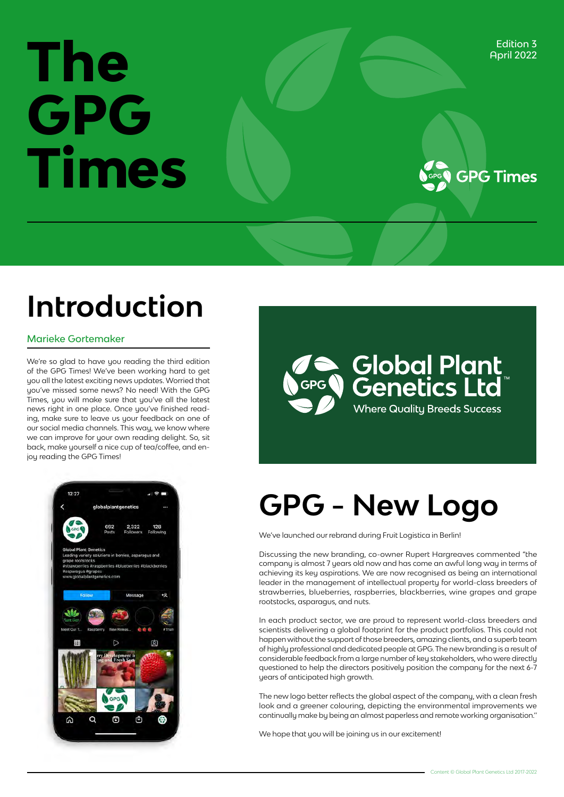## Edition 3<br>April 2022<br>**The Contract of Contract of Contract of Contract of Contract of Contract of Contract of Contract of Contract of Contract of Contract of Contract of Contract of Contract of Contract of Contract of Cont GPG Times**



### **Introduction**

#### Marieke Gortemaker

We're so glad to have you reading the third edition of the GPG Times! We've been working hard to get you all the latest exciting news updates. Worried that you've missed some news? No need! With the GPG Times, you will make sure that you've all the latest news right in one place. Once you've finished reading, make sure to leave us your feedback on one of our social media channels. This way, we know where we can improve for your own reading delight. So, sit back, make yourself a nice cup of tea/coffee, and enjoy reading the GPG Times!





### **GPG - New Logo**

We've launched our rebrand during Fruit Logistica in Berlin!

Discussing the new branding, co-owner Rupert Hargreaves commented "the company is almost 7 years old now and has come an awful long way in terms of achieving its key aspirations. We are now recognised as being an international leader in the management of intellectual property for world-class breeders of strawberries, blueberries, raspberries, blackberries, wine grapes and grape rootstocks, asparagus, and nuts.

In each product sector, we are proud to represent world-class breeders and scientists delivering a global footprint for the product portfolios. This could not happen without the support of those breeders, amazing clients, and a superb team of highly professional and dedicated people at GPG. The new branding is a result of considerable feedback from a large number of key stakeholders, who were directly questioned to help the directors positively position the company for the next 6-7 years of anticipated high growth.

The new logo better reflects the global aspect of the company, with a clean fresh look and a greener colouring, depicting the environmental improvements we continually make by being an almost paperless and remote working organisation.''

We hope that you will be joining us in our excitement!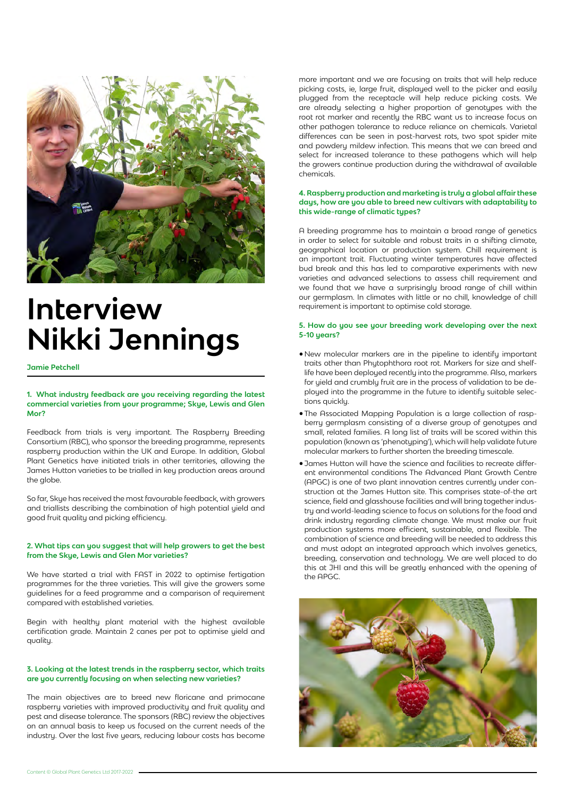

### **Interview Nikki Jennings**

**Jamie Petchell**

#### **1. What industry feedback are you receiving regarding the latest commercial varieties from your programme; Skye, Lewis and Glen Mor?**

Feedback from trials is very important. The Raspberry Breeding Consortium (RBC), who sponsor the breeding programme, represents raspberry production within the UK and Europe. In addition, Global Plant Genetics have initiated trials in other territories, allowing the James Hutton varieties to be trialled in key production areas around the globe.

So far, Skye has received the most favourable feedback, with growers and triallists describing the combination of high potential yield and good fruit quality and picking efficiency.

#### **2. What tips can you suggest that will help growers to get the best from the Skye, Lewis and Glen Mor varieties?**

We have started a trial with FAST in 2022 to optimise fertigation programmes for the three varieties. This will give the growers some guidelines for a feed programme and a comparison of requirement compared with established varieties.

Begin with healthy plant material with the highest available certification grade. Maintain 2 canes per pot to optimise yield and quality.

#### **3. Looking at the latest trends in the raspberry sector, which traits are you currently focusing on when selecting new varieties?**

The main objectives are to breed new floricane and primocane raspberry varieties with improved productivity and fruit quality and pest and disease tolerance. The sponsors (RBC) review the objectives on an annual basis to keep us focused on the current needs of the industry. Over the last five years, reducing labour costs has become

more important and we are focusing on traits that will help reduce picking costs, ie, large fruit, displayed well to the picker and easily plugged from the receptacle will help reduce picking costs. We are already selecting a higher proportion of genotypes with the root rot marker and recently the RBC want us to increase focus on other pathogen tolerance to reduce reliance on chemicals. Varietal differences can be seen in post-harvest rots, two spot spider mite and powdery mildew infection. This means that we can breed and select for increased tolerance to these pathogens which will help the growers continue production during the withdrawal of available chemicals.

#### **4. Raspberry production and marketing is truly a global affair these days, how are you able to breed new cultivars with adaptability to this wide-range of climatic types?**

A breeding programme has to maintain a broad range of genetics in order to select for suitable and robust traits in a shifting climate, geographical location or production system. Chill requirement is an important trait. Fluctuating winter temperatures have affected bud break and this has led to comparative experiments with new varieties and advanced selections to assess chill requirement and we found that we have a surprisingly broad range of chill within our germplasm. In climates with little or no chill, knowledge of chill requirement is important to optimise cold storage.

#### **5. How do you see your breeding work developing over the next 5-10 years?**

- •New molecular markers are in the pipeline to identify important traits other than Phytophthora root rot. Markers for size and shelflife have been deployed recently into the programme. Also, markers for yield and crumbly fruit are in the process of validation to be deployed into the programme in the future to identify suitable selections quickly.
- •The Associated Mapping Population is a large collection of raspberry germplasm consisting of a diverse group of genotypes and small, related families. A long list of traits will be scored within this population (known as 'phenotyping'), which will help validate future molecular markers to further shorten the breeding timescale.
- •James Hutton will have the science and facilities to recreate different environmental conditions The Advanced Plant Growth Centre (APGC) is one of two plant innovation centres currently under construction at the James Hutton site. This comprises state-of-the art science, field and glasshouse facilities and will bring together industry and world-leading science to focus on solutions for the food and drink industry regarding climate change. We must make our fruit production systems more efficient, sustainable, and flexible. The combination of science and breeding will be needed to address this and must adopt an integrated approach which involves genetics, breeding, conservation and technology. We are well placed to do this at JHI and this will be greatly enhanced with the opening of the APGC.

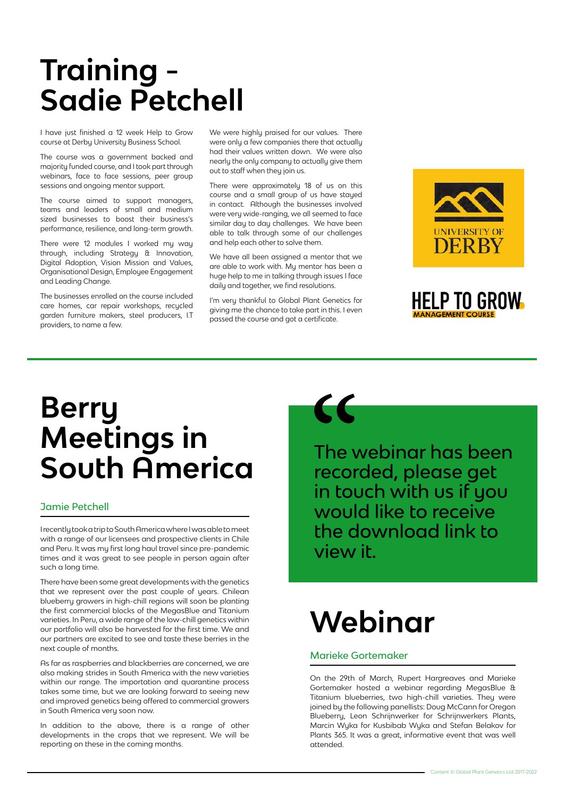### **Training Sadie Petchell**

I have just finished a 12 week Help to Grow course at Derby University Business School.

The course was a government backed and majority funded course, and I took part through webinars, face to face sessions, peer group sessions and ongoing mentor support.

The course aimed to support managers, teams and leaders of small and medium sized businesses to boost their business's performance, resilience, and long-term growth.

There were 12 modules I worked my way through, including Strategy & Innovation, Digital Adoption, Vision Mission and Values, Organisational Design, Employee Engagement and Leading Change.

The businesses enrolled on the course included care homes, car repair workshops, recycled garden furniture makers, steel producers, I.T providers, to name a few.

We were highly praised for our values. There were only a few companies there that actually had their values written down. We were also nearly the only company to actually give them out to staff when they join us.

There were approximately 18 of us on this course and a small group of us have stayed in contact. Although the businesses involved were very wide-ranging, we all seemed to face similar day to day challenges. We have been able to talk through some of our challenges and help each other to solve them.

We have all been assigned a mentor that we are able to work with. Mu mentor has been a huge help to me in talking through issues I face daily and together, we find resolutions.

I'm very thankful to Global Plant Genetics for giving me the chance to take part in this. I even passed the course and got a certificate.





### **Berry Meetings in South America**

#### Jamie Petchell

I recently took a trip to South America where I was able to meet with a range of our licensees and prospective clients in Chile and Peru. It was my first long haul travel since pre-pandemic times and it was great to see people in person again after such a long time.

There have been some great developments with the genetics that we represent over the past couple of years. Chilean blueberry growers in high-chill regions will soon be planting the first commercial blocks of the MegasBlue and Titanium varieties. In Peru, a wide range of the low-chill genetics within our portfolio will also be harvested for the first time. We and our partners are excited to see and taste these berries in the next couple of months.

As far as raspberries and blackberries are concerned, we are also making strides in South America with the new varieties within our range. The importation and quarantine process takes some time, but we are looking forward to seeing new and improved genetics being offered to commercial growers in South America very soon now.

In addition to the above, there is a range of other developments in the crops that we represent. We will be reporting on these in the coming months.



The v<br>The v<br>recor<br>in tou The webinar has been recorded, please get in touch with us if you would like to receive the download link to view it.

### **Webinar**

#### Marieke Gortemaker

On the 29th of March, Rupert Hargreaves and Marieke Gortemaker hosted a webinar regarding MegasBlue & Titanium blueberries, two high-chill varieties. They were joined by the following panellists: Doug McCann for Oregon Blueberry, Leon Schrijnwerker for Schrijnwerkers Plants, Marcin Wyka for Kusbibab Wyka and Stefan Belakov for Plants 365. It was a great, informative event that was well attended.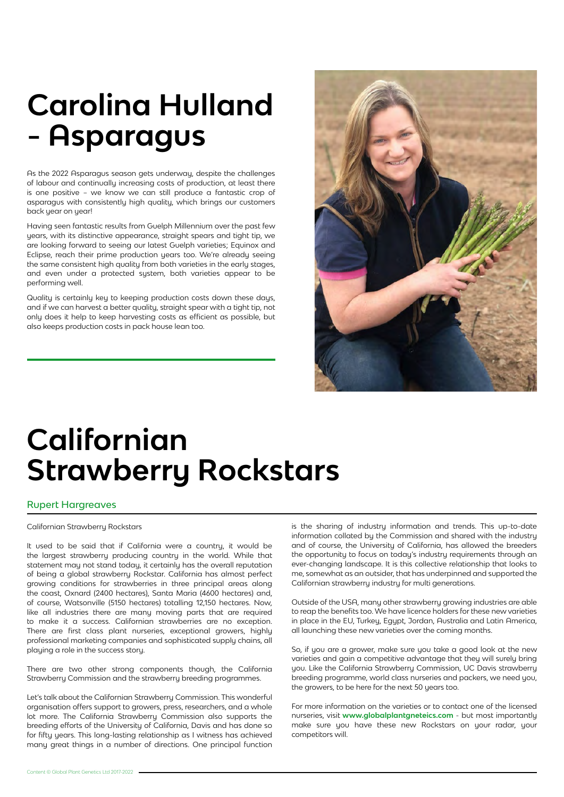### **Carolina Hulland - Asparagus**

As the 2022 Asparagus season gets underway, despite the challenges of labour and continually increasing costs of production, at least there is one positive – we know we can still produce a fantastic crop of asparagus with consistently high quality, which brings our customers back year on year!

Having seen fantastic results from Guelph Millennium over the past few years, with its distinctive appearance, straight spears and tight tip, we are looking forward to seeing our latest Guelph varieties; Equinox and Eclipse, reach their prime production years too. We're already seeing the same consistent high quality from both varieties in the early stages, and even under a protected system, both varieties appear to be performing well.

Quality is certainly key to keeping production costs down these days, and if we can harvest a better quality, straight spear with a tight tip, not only does it help to keep harvesting costs as efficient as possible, but also keeps production costs in pack house lean too.



### **Californian Strawberry Rockstars**

#### Rupert Hargreaves

Californian Strawberry Rockstars

It used to be said that if California were a country, it would be the largest strawberry producing country in the world. While that statement may not stand today, it certainly has the overall reputation of being a global strawberry Rockstar. California has almost perfect growing conditions for strawberries in three principal areas along the coast, Oxnard (2400 hectares), Santa Maria (4600 hectares) and, of course, Watsonville (5150 hectares) totalling 12,150 hectares. Now, like all industries there are many moving parts that are required to make it a success. Californian strawberries are no exception. There are first class plant nurseries, exceptional growers, highly professional marketing companies and sophisticated supply chains, all playing a role in the success story.

There are two other strong components though, the California Strawberry Commission and the strawberry breeding programmes.

Let's talk about the Californian Strawberry Commission. This wonderful organisation offers support to growers, press, researchers, and a whole lot more. The California Strawberry Commission also supports the breeding efforts of the University of California, Davis and has done so for fifty years. This long-lasting relationship as I witness has achieved many great things in a number of directions. One principal function

is the sharing of industry information and trends. This up-to-date information collated by the Commission and shared with the industry and of course, the University of California, has allowed the breeders the opportunity to focus on today's industry requirements through an ever-changing landscape. It is this collective relationship that looks to me, somewhat as an outsider, that has underpinned and supported the Californian strawberry industry for multi generations.

Outside of the USA, many other strawberry growing industries are able to reap the benefits too. We have licence holders for these new varieties in place in the EU, Turkey, Egypt, Jordan, Australia and Latin America, all launching these new varieties over the coming months.

So, if you are a grower, make sure you take a good look at the new varieties and gain a competitive advantage that they will surely bring you. Like the California Strawberry Commission, UC Davis strawberry breeding programme, world class nurseries and packers, we need you, the growers, to be here for the next 50 years too.

For more information on the varieties or to contact one of the licensed nurseries, visit **www.globalplantgneteics.com** - but most importantly make sure you have these new Rockstars on your radar, your competitors will.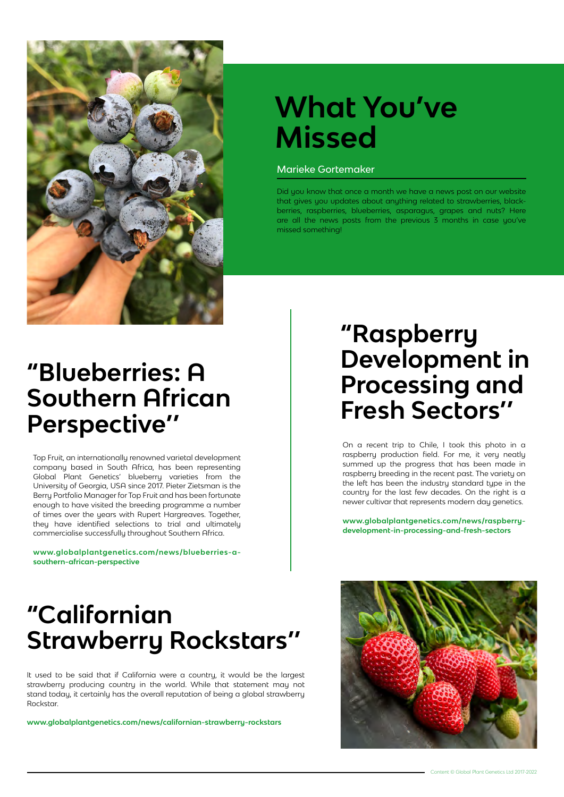

### **What You've Missed**

#### Marieke Gortemaker

Did you know that once a month we have a news post on our website that gives you updates about anything related to strawberries, blackberries, raspberries, blueberries, asparagus, grapes and nuts? Here are all the news posts from the previous 3 months in case you've missed something!

#### **"Blueberries: A Southern African Perspective''**

Top Fruit, an internationally renowned varietal development company based in South Africa, has been representing Global Plant Genetics' blueberry varieties from the University of Georgia, USA since 2017. Pieter Zietsman is the Berry Portfolio Manager for Top Fruit and has been fortunate enough to have visited the breeding programme a number of times over the years with Rupert Hargreaves. Together, they have identified selections to trial and ultimately commercialise successfully throughout Southern Africa.

**www.globalplantgenetics.com/news/blueberries-asouthern-african-perspective**

### **"Raspberry Development in Processing and Fresh Sectors''**

On a recent trip to Chile, I took this photo in a raspberry production field. For me, it very neatly summed up the progress that has been made in raspberry breeding in the recent past. The variety on the left has been the industru standard tupe in the country for the last few decades. On the right is a newer cultivar that represents modern day genetics.

**www.globalplantgenetics.com/news/raspberrydevelopment-in-processing-and-fresh-sectors**

### **"Californian Strawberry Rockstars''**

It used to be said that if California were a country, it would be the largest strawberry producing country in the world. While that statement may not stand today, it certainly has the overall reputation of being a global strawberry Rockstar.

**www.globalplantgenetics.com/news/californian-strawberry-rockstars**